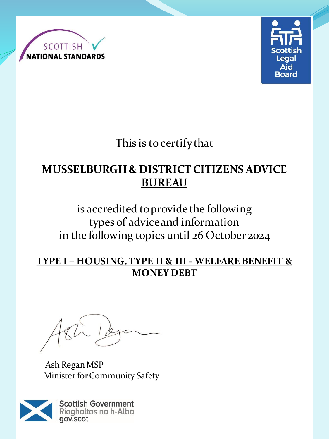



This is to certify that

## **MUSSELBURGH & DISTRICT CITIZENS ADVICE BUREAU**

is accredited to provide the following types of advice and information in the following topics until 26 October 2024

#### **TYPE I – HOUSING, TYPE II & III - WELFARE BENEFIT & MONEY DEBT**

Ash Regan MSP Minister for Community Safety

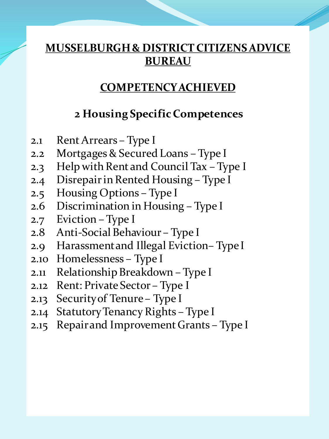#### **COMPETENCY ACHIEVED**

#### **2 Housing Specific Competences**

- 2.1 Rent Arrears Type I
- 2.2 Mortgages & Secured Loans Type I
- 2.3 Help with Rent and Council Tax Type I
- 2.4 Disrepair in Rented Housing Type I
- 2.5 Housing Options Type I
- 2.6 Discrimination in Housing Type I
- 2.7 Eviction Type I
- 2.8 Anti-Social Behaviour Type I
- 2.9 Harassment and Illegal Eviction– Type I
- 2.10 Homelessness Type I
- 2.11 Relationship Breakdown Type I
- 2.12 Rent: Private Sector Type I
- 2.13 Security of Tenure Type I
- 2.14 Statutory Tenancy Rights Type I
- 2.15 Repair and Improvement Grants Type I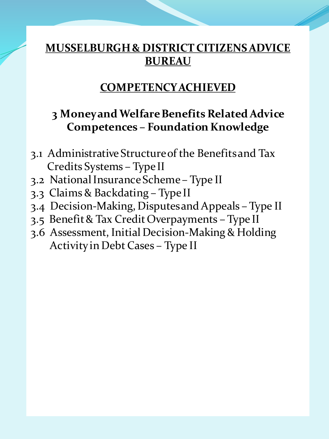#### **COMPETENCY ACHIEVED**

#### **3 Money and Welfare Benefits Related Advice Competences – Foundation Knowledge**

- 3.1 Administrative Structure of the Benefits and Tax Credits Systems – Type II
- 3.2 National Insurance Scheme Type II
- 3.3 Claims & Backdating Type II
- 3.4 Decision-Making, Disputes and Appeals Type II
- 3.5 Benefit & Tax Credit Overpayments Type II
- 3.6 Assessment, Initial Decision-Making & Holding Activity in Debt Cases – Type II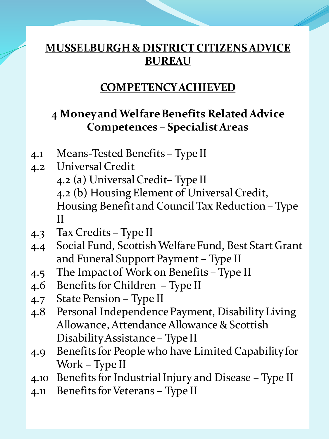### **COMPETENCY ACHIEVED**

## **4 Money and Welfare Benefits Related Advice Competences – Specialist Areas**

- 4.1 Means-Tested Benefits Type II
- 4.2 Universal Credit 4.2 (a) Universal Credit– Type II 4.2 (b) Housing Element of Universal Credit, Housing Benefit and Council Tax Reduction – Type II
- 4.3 Tax Credits Type II
- 4.4 Social Fund, Scottish Welfare Fund, Best Start Grant and Funeral Support Payment – Type II
- 4.5 The Impact of Work on Benefits Type II
- 4.6 Benefits for Children Type II
- 4.7 State Pension Type II
- 4.8 Personal Independence Payment, Disability Living Allowance, Attendance Allowance & Scottish Disability Assistance – Type II
- 4.9 Benefits for People who have Limited Capability for Work – Type II
- 4.10 Benefits for Industrial Injury and Disease Type II
- 4.11 Benefits for Veterans Type II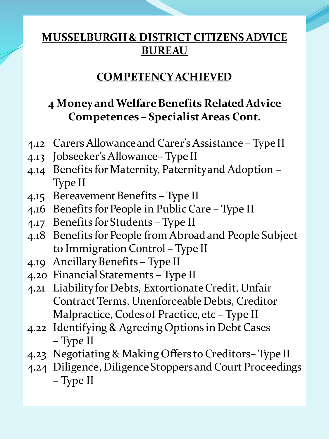## **COMPETENCY ACHIEVED**

# **4 Money and Welfare Benefits Related Advice Competences – Specialist Areas Cont.**

- 4.12 Carers Allowance and Carer's Assistance Type II
- 4.13 Jobseeker's Allowance– Type II
- 4.14 Benefits for Maternity, Paternity and Adoption Type II
- 4.15 Bereavement Benefits Type II
- 4.16 Benefits for People in Public Care Type II
- 4.17 Benefits for Students Type II
- 4.18 Benefits for People from Abroad and People Subject to Immigration Control – Type II
- 4.19 Ancillary Benefits Type II
- 4.20 Financial Statements Type II
- 4.21 Liability for Debts, Extortionate Credit, Unfair Contract Terms, Unenforceable Debts, Creditor Malpractice, Codes of Practice, etc – Type II
- 4.22 Identifying & Agreeing Options in Debt Cases – Type II
- 4.23 Negotiating & Making Offers to Creditors– Type II
- 4.24 Diligence, Diligence Stoppers and Court Proceedings – Type II